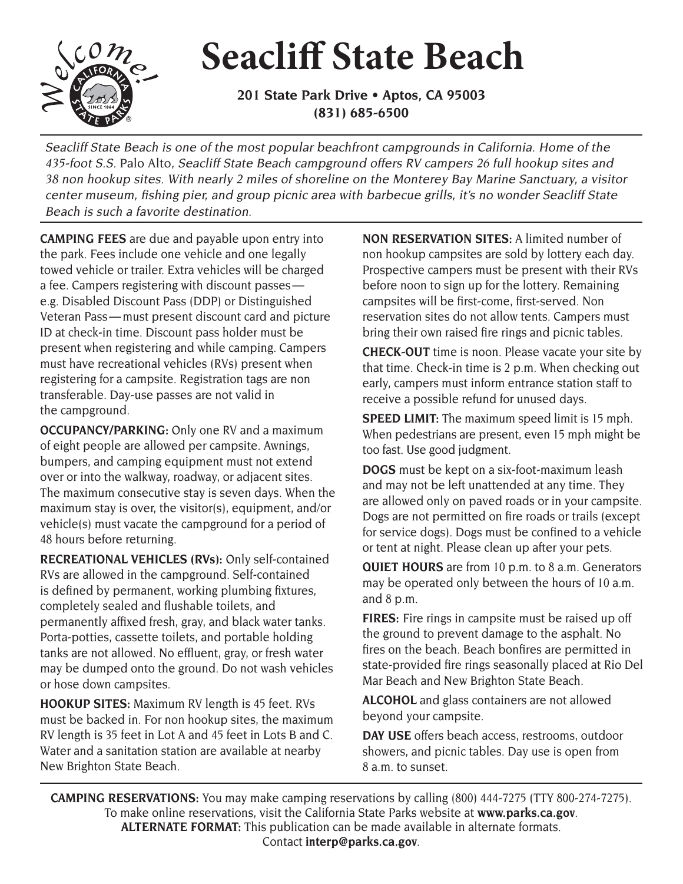## **Seacliff State Beach**

**201 State Park Drive • Aptos, CA 95003 (831) 685-6500** 

Seacliff State Beach is one of the most popular beachfront campgrounds in California. Home of the 435-foot S.S. Palo Alto, Seacliff State Beach campground offers RV campers 26 full hookup sites and 38 non hookup sites. With nearly 2 miles of shoreline on the Monterey Bay Marine Sanctuary, a visitor center museum, fishing pier, and group picnic area with barbecue grills, it's no wonder Seacliff State Beach is such a favorite destination.

**CAMPING FEES** are due and payable upon entry into the park. Fees include one vehicle and one legally towed vehicle or trailer. Extra vehicles will be charged a fee. Campers registering with discount passes e.g. Disabled Discount Pass (DDP) or Distinguished Veteran Pass — must present discount card and picture ID at check-in time. Discount pass holder must be present when registering and while camping. Campers must have recreational vehicles (RVs) present when registering for a campsite. Registration tags are non transferable. Day-use passes are not valid in the campground.

**OCCUPANCY/PARKING:** Only one RV and a maximum of eight people are allowed per campsite. Awnings, bumpers, and camping equipment must not extend over or into the walkway, roadway, or adjacent sites. The maximum consecutive stay is seven days. When the maximum stay is over, the visitor(s), equipment, and/or vehicle(s) must vacate the campground for a period of 48 hours before returning.

**RECREATIONAL VEHICLES (RVs):** Only self-contained RVs are allowed in the campground. Self-contained is defined by permanent, working plumbing fixtures, completely sealed and flushable toilets, and permanently affixed fresh, gray, and black water tanks. Porta-potties, cassette toilets, and portable holding tanks are not allowed. No effluent, gray, or fresh water may be dumped onto the ground. Do not wash vehicles or hose down campsites.

**HOOKUP SITES:** Maximum RV length is 45 feet. RVs must be backed in. For non hookup sites, the maximum RV length is 35 feet in Lot A and 45 feet in Lots B and C. Water and a sanitation station are available at nearby New Brighton State Beach.

**NON RESERVATION SITES:** A limited number of non hookup campsites are sold by lottery each day. Prospective campers must be present with their RVs before noon to sign up for the lottery. Remaining campsites will be first-come, first-served. Non reservation sites do not allow tents. Campers must bring their own raised fire rings and picnic tables.

**CHECK-OUT** time is noon. Please vacate your site by that time. Check-in time is 2 p.m. When checking out early, campers must inform entrance station staff to receive a possible refund for unused days.

**SPEED LIMIT:** The maximum speed limit is 15 mph. When pedestrians are present, even 15 mph might be too fast. Use good judgment.

**DOGS** must be kept on a six-foot-maximum leash and may not be left unattended at any time. They are allowed only on paved roads or in your campsite. Dogs are not permitted on fire roads or trails (except for service dogs). Dogs must be confined to a vehicle or tent at night. Please clean up after your pets.

**QUIET HOURS** are from 10 p.m. to 8 a.m. Generators may be operated only between the hours of 10 a.m. and 8 p.m.

 fires on the beach. Beach bonfires are permitted in **FIRES:** Fire rings in campsite must be raised up off the ground to prevent damage to the asphalt. No state-provided fire rings seasonally placed at Rio Del Mar Beach and New Brighton State Beach.

**ALCOHOL** and glass containers are not allowed beyond your campsite.

DAY USE offers beach access, restrooms, outdoor showers, and picnic tables. Day use is open from 8 a.m. to sunset.

**CAMPING RESERVATIONS:** You may make camping reservations by calling (800) 444-7275 (TTY 800-274-7275). To make online reservations, visit the California State Parks website at **www.parks.ca.gov**. **ALTERNATE FORMAT:** This publication can be made available in alternate formats. Contact **interp@parks.ca.gov**.